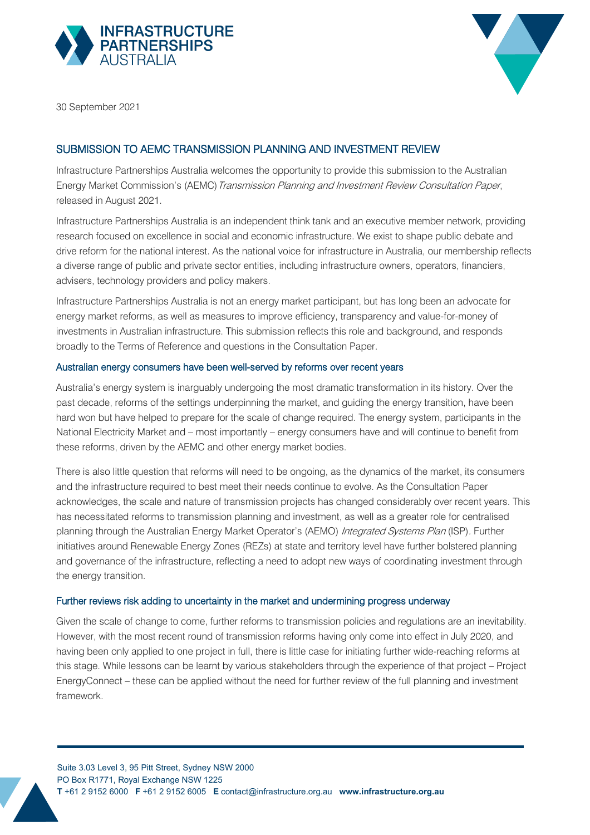



30 September 2021

# SUBMISSION TO AEMC TRANSMISSION PLANNING AND INVESTMENT REVIEW

Infrastructure Partnerships Australia welcomes the opportunity to provide this submission to the Australian Energy Market Commission's (AEMC) Transmission Planning and Investment Review Consultation Paper, released in August 2021.

Infrastructure Partnerships Australia is an independent think tank and an executive member network, providing research focused on excellence in social and economic infrastructure. We exist to shape public debate and drive reform for the national interest. As the national voice for infrastructure in Australia, our membership reflects a diverse range of public and private sector entities, including infrastructure owners, operators, financiers, advisers, technology providers and policy makers.

Infrastructure Partnerships Australia is not an energy market participant, but has long been an advocate for energy market reforms, as well as measures to improve efficiency, transparency and value-for-money of investments in Australian infrastructure. This submission reflects this role and background, and responds broadly to the Terms of Reference and questions in the Consultation Paper.

#### Australian energy consumers have been well-served by reforms over recent years

Australia's energy system is inarguably undergoing the most dramatic transformation in its history. Over the past decade, reforms of the settings underpinning the market, and guiding the energy transition, have been hard won but have helped to prepare for the scale of change required. The energy system, participants in the National Electricity Market and – most importantly – energy consumers have and will continue to benefit from these reforms, driven by the AEMC and other energy market bodies.

There is also little question that reforms will need to be ongoing, as the dynamics of the market, its consumers and the infrastructure required to best meet their needs continue to evolve. As the Consultation Paper acknowledges, the scale and nature of transmission projects has changed considerably over recent years. This has necessitated reforms to transmission planning and investment, as well as a greater role for centralised planning through the Australian Energy Market Operator's (AEMO) Integrated Systems Plan (ISP). Further initiatives around Renewable Energy Zones (REZs) at state and territory level have further bolstered planning and governance of the infrastructure, reflecting a need to adopt new ways of coordinating investment through the energy transition.

## Further reviews risk adding to uncertainty in the market and undermining progress underway

Given the scale of change to come, further reforms to transmission policies and regulations are an inevitability. However, with the most recent round of transmission reforms having only come into effect in July 2020, and having been only applied to one project in full, there is little case for initiating further wide-reaching reforms at this stage. While lessons can be learnt by various stakeholders through the experience of that project – Project EnergyConnect – these can be applied without the need for further review of the full planning and investment framework.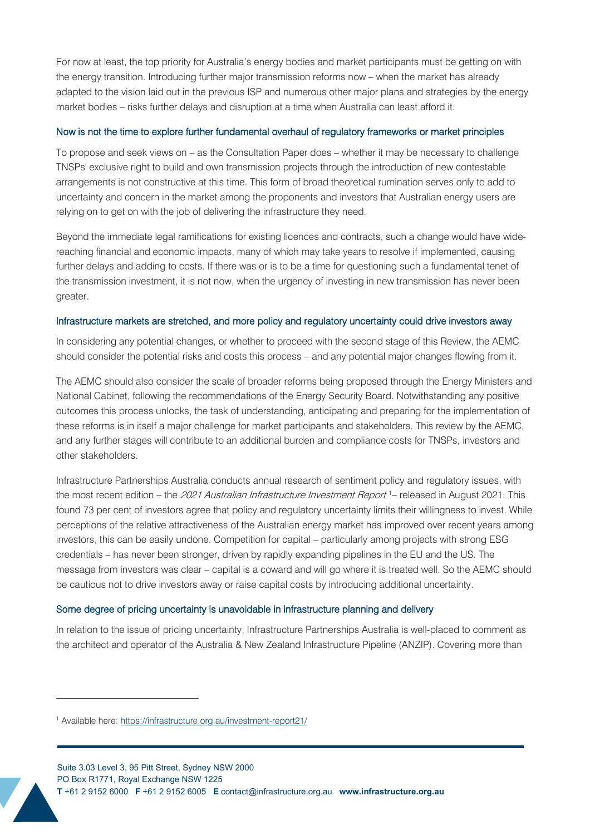For now at least, the top priority for Australia's energy bodies and market participants must be getting on with the energy transition. Introducing further major transmission reforms now – when the market has already adapted to the vision laid out in the previous ISP and numerous other major plans and strategies by the energy market bodies – risks further delays and disruption at a time when Australia can least afford it.

### Now is not the time to explore further fundamental overhaul of regulatory frameworks or market principles

To propose and seek views on – as the Consultation Paper does – whether it may be necessary to challenge TNSPs' exclusive right to build and own transmission projects through the introduction of new contestable arrangements is not constructive at this time. This form of broad theoretical rumination serves only to add to uncertainty and concern in the market among the proponents and investors that Australian energy users are relying on to get on with the job of delivering the infrastructure they need.

Beyond the immediate legal ramifications for existing licences and contracts, such a change would have widereaching financial and economic impacts, many of which may take years to resolve if implemented, causing further delays and adding to costs. If there was or is to be a time for questioning such a fundamental tenet of the transmission investment, it is not now, when the urgency of investing in new transmission has never been greater.

#### Infrastructure markets are stretched, and more policy and regulatory uncertainty could drive investors away

In considering any potential changes, or whether to proceed with the second stage of this Review, the AEMC should consider the potential risks and costs this process – and any potential major changes flowing from it.

The AEMC should also consider the scale of broader reforms being proposed through the Energy Ministers and National Cabinet, following the recommendations of the Energy Security Board. Notwithstanding any positive outcomes this process unlocks, the task of understanding, anticipating and preparing for the implementation of these reforms is in itself a major challenge for market participants and stakeholders. This review by the AEMC, and any further stages will contribute to an additional burden and compliance costs for TNSPs, investors and other stakeholders.

Infrastructure Partnerships Australia conducts annual research of sentiment policy and regulatory issues, with the most recent edition – the *202[1](#page-1-0) Australian Infrastructure Investment Report* 1– released in August 2021. This found 73 per cent of investors agree that policy and regulatory uncertainty limits their willingness to invest. While perceptions of the relative attractiveness of the Australian energy market has improved over recent years among investors, this can be easily undone. Competition for capital – particularly among projects with strong ESG credentials – has never been stronger, driven by rapidly expanding pipelines in the EU and the US. The message from investors was clear – capital is a coward and will go where it is treated well. So the AEMC should be cautious not to drive investors away or raise capital costs by introducing additional uncertainty.

#### Some degree of pricing uncertainty is unavoidable in infrastructure planning and delivery

In relation to the issue of pricing uncertainty, Infrastructure Partnerships Australia is well-placed to comment as the architect and operator of the Australia & New Zealand Infrastructure Pipeline (ANZIP). Covering more than

<span id="page-1-0"></span><sup>1</sup> Available here[: https://infrastructure.org.au/investment-report21/](https://infrastructure.org.au/investment-report21/)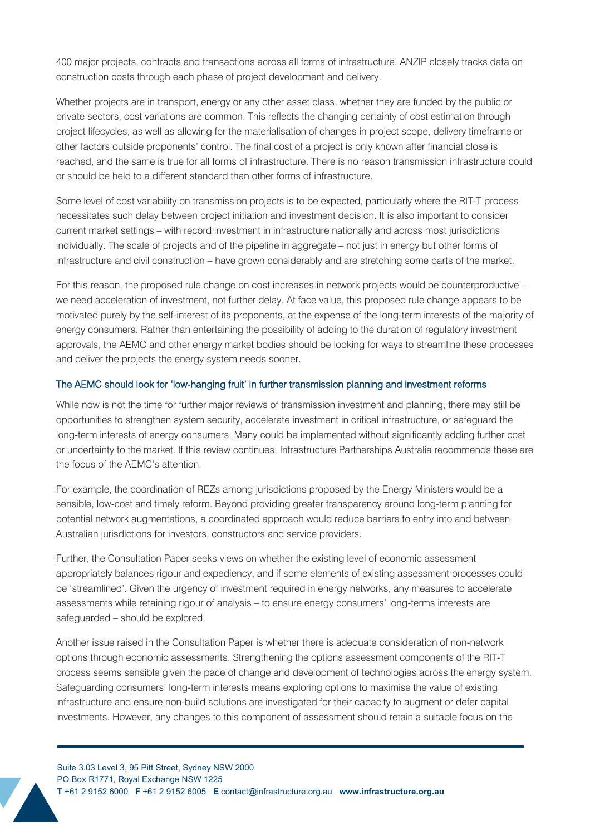400 major projects, contracts and transactions across all forms of infrastructure, ANZIP closely tracks data on construction costs through each phase of project development and delivery.

Whether projects are in transport, energy or any other asset class, whether they are funded by the public or private sectors, cost variations are common. This reflects the changing certainty of cost estimation through project lifecycles, as well as allowing for the materialisation of changes in project scope, delivery timeframe or other factors outside proponents' control. The final cost of a project is only known after financial close is reached, and the same is true for all forms of infrastructure. There is no reason transmission infrastructure could or should be held to a different standard than other forms of infrastructure.

Some level of cost variability on transmission projects is to be expected, particularly where the RIT-T process necessitates such delay between project initiation and investment decision. It is also important to consider current market settings – with record investment in infrastructure nationally and across most jurisdictions individually. The scale of projects and of the pipeline in aggregate – not just in energy but other forms of infrastructure and civil construction – have grown considerably and are stretching some parts of the market.

For this reason, the proposed rule change on cost increases in network projects would be counterproductive – we need acceleration of investment, not further delay. At face value, this proposed rule change appears to be motivated purely by the self-interest of its proponents, at the expense of the long-term interests of the majority of energy consumers. Rather than entertaining the possibility of adding to the duration of regulatory investment approvals, the AEMC and other energy market bodies should be looking for ways to streamline these processes and deliver the projects the energy system needs sooner.

#### The AEMC should look for 'low-hanging fruit' in further transmission planning and investment reforms

While now is not the time for further major reviews of transmission investment and planning, there may still be opportunities to strengthen system security, accelerate investment in critical infrastructure, or safeguard the long-term interests of energy consumers. Many could be implemented without significantly adding further cost or uncertainty to the market. If this review continues, Infrastructure Partnerships Australia recommends these are the focus of the AEMC's attention.

For example, the coordination of REZs among jurisdictions proposed by the Energy Ministers would be a sensible, low-cost and timely reform. Beyond providing greater transparency around long-term planning for potential network augmentations, a coordinated approach would reduce barriers to entry into and between Australian jurisdictions for investors, constructors and service providers.

Further, the Consultation Paper seeks views on whether the existing level of economic assessment appropriately balances rigour and expediency, and if some elements of existing assessment processes could be 'streamlined'. Given the urgency of investment required in energy networks, any measures to accelerate assessments while retaining rigour of analysis – to ensure energy consumers' long-terms interests are safeguarded – should be explored.

Another issue raised in the Consultation Paper is whether there is adequate consideration of non-network options through economic assessments. Strengthening the options assessment components of the RIT-T process seems sensible given the pace of change and development of technologies across the energy system. Safeguarding consumers' long-term interests means exploring options to maximise the value of existing infrastructure and ensure non-build solutions are investigated for their capacity to augment or defer capital investments. However, any changes to this component of assessment should retain a suitable focus on the